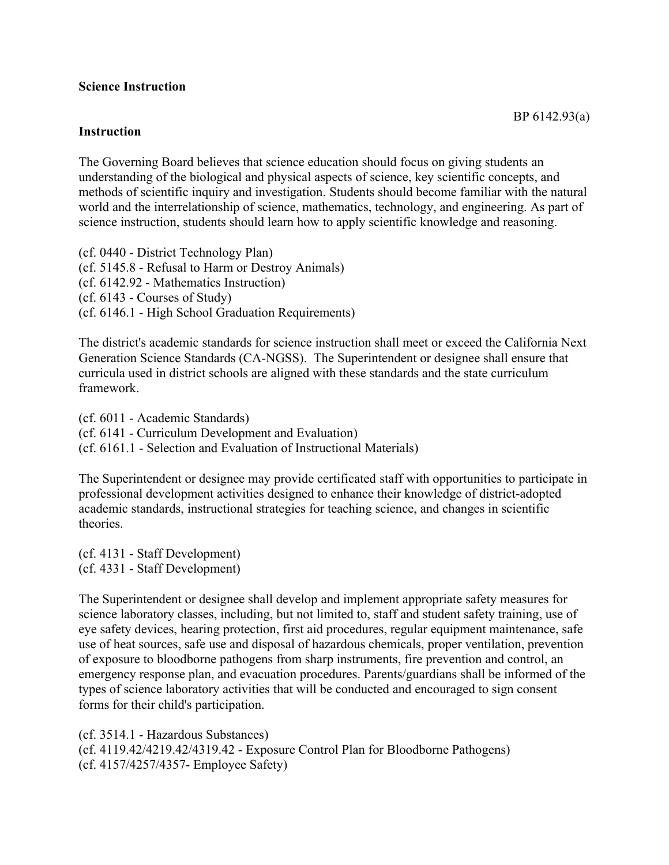## **Science Instruction**

## **Instruction**

The Governing Board believes that science education should focus on giving students an understanding of the biological and physical aspects of science, key scientific concepts, and methods of scientific inquiry and investigation. Students should become familiar with the natural world and the interrelationship of science, mathematics, technology, and engineering. As part of science instruction, students should learn how to apply scientific knowledge and reasoning.

(cf. 0440 - District Technology Plan) (cf. 5145.8 - Refusal to Harm or Destroy Animals) (cf. 6142.92 - Mathematics Instruction) (cf. 6143 - Courses of Study) (cf. 6146.1 - High School Graduation Requirements)

The district's academic standards for science instruction shall meet or exceed the California Next Generation Science Standards (CA-NGSS). The Superintendent or designee shall ensure that curricula used in district schools are aligned with these standards and the state curriculum framework.

(cf. 6011 - Academic Standards) (cf. 6141 - Curriculum Development and Evaluation) (cf. 6161.1 - Selection and Evaluation of Instructional Materials)

The Superintendent or designee may provide certificated staff with opportunities to participate in professional development activities designed to enhance their knowledge of district-adopted academic standards, instructional strategies for teaching science, and changes in scientific theories.

(cf. 4131 - Staff Development) (cf. 4331 - Staff Development)

The Superintendent or designee shall develop and implement appropriate safety measures for science laboratory classes, including, but not limited to, staff and student safety training, use of eye safety devices, hearing protection, first aid procedures, regular equipment maintenance, safe use of heat sources, safe use and disposal of hazardous chemicals, proper ventilation, prevention of exposure to bloodborne pathogens from sharp instruments, fire prevention and control, an emergency response plan, and evacuation procedures. Parents/guardians shall be informed of the types of science laboratory activities that will be conducted and encouraged to sign consent forms for their child's participation.

(cf. 3514.1 - Hazardous Substances) (cf. 4119.42/4219.42/4319.42 - Exposure Control Plan for Bloodborne Pathogens) (cf. 4157/4257/4357- Employee Safety)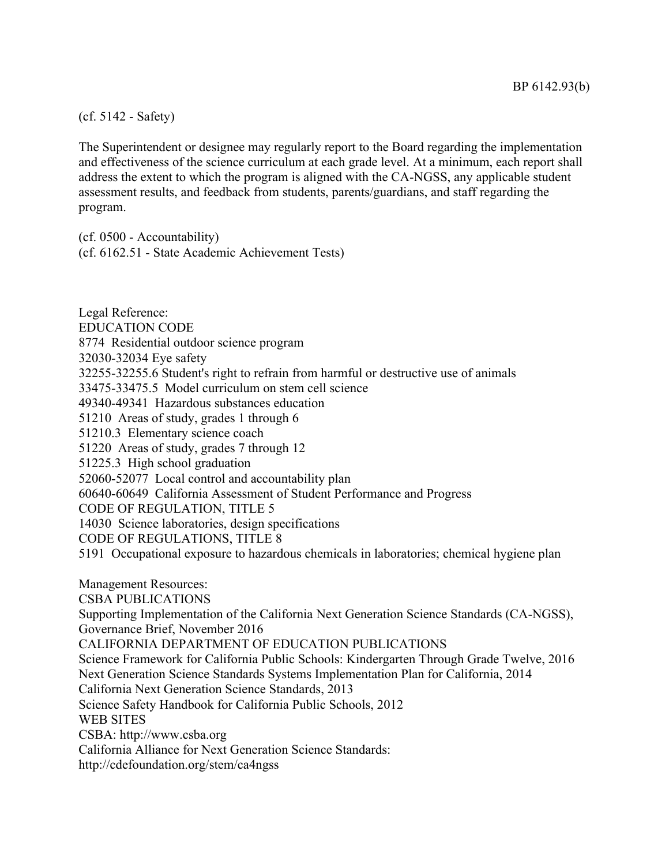## (cf. 5142 - Safety)

The Superintendent or designee may regularly report to the Board regarding the implementation and effectiveness of the science curriculum at each grade level. At a minimum, each report shall address the extent to which the program is aligned with the CA-NGSS, any applicable student assessment results, and feedback from students, parents/guardians, and staff regarding the program.

(cf. 0500 - Accountability) (cf. 6162.51 - State Academic Achievement Tests)

Legal Reference: EDUCATION CODE 8774 Residential outdoor science program 32030-32034 Eye safety 32255-32255.6 Student's right to refrain from harmful or destructive use of animals 33475-33475.5 Model curriculum on stem cell science 49340-49341 Hazardous substances education 51210 Areas of study, grades 1 through 6 51210.3 Elementary science coach 51220 Areas of study, grades 7 through 12 51225.3 High school graduation 52060-52077 Local control and accountability plan 60640-60649 California Assessment of Student Performance and Progress CODE OF REGULATION, TITLE 5 14030 Science laboratories, design specifications CODE OF REGULATIONS, TITLE 8 5191 Occupational exposure to hazardous chemicals in laboratories; chemical hygiene plan Management Resources: CSBA PUBLICATIONS Supporting Implementation of the California Next Generation Science Standards (CA-NGSS), Governance Brief, November 2016 CALIFORNIA DEPARTMENT OF EDUCATION PUBLICATIONS Science Framework for California Public Schools: Kindergarten Through Grade Twelve, 2016 Next Generation Science Standards Systems Implementation Plan for California, 2014 California Next Generation Science Standards, 2013 Science Safety Handbook for California Public Schools, 2012 WEB SITES CSBA: http://www.csba.org California Alliance for Next Generation Science Standards: http://cdefoundation.org/stem/ca4ngss